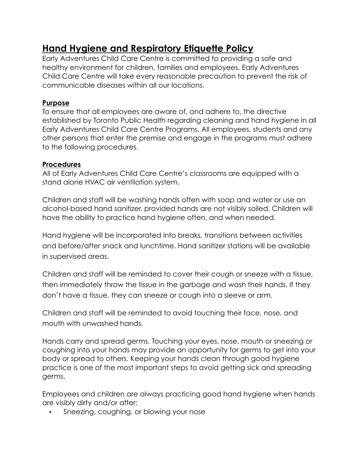# **Hand Hygiene and Respiratory Etiquette Policy**

Early Adventures Child Care Centre is committed to providing a safe and healthy environment for children, families and employees. Early Adventures Child Care Centre will take every reasonable precaution to prevent the risk of communicable diseases within all our locations.

# **Purpose**

To ensure that all employees are aware of, and adhere to, the directive established by Toronto Public Health regarding cleaning and hand hygiene in all Early Adventures Child Care Centre Programs. All employees, students and any other persons that enter the premise and engage in the programs must adhere to the following procedures.

# **Procedures**

All of Early Adventures Child Care Centre's classrooms are equipped with a stand alone HVAC air ventilation system.

Children and staff will be washing hands often with soap and water or use an alcohol-based hand sanitizer, provided hands are not visibly soiled. Children will have the ability to practice hand hygiene often, and when needed.

Hand hygiene will be incorporated into breaks, transitions between activities and before/after snack and lunchtime. Hand sanitizer stations will be available in supervised areas.

Children and staff will be reminded to cover their cough or sneeze with a tissue, then immediately throw the tissue in the garbage and wash their hands. If they don't have a tissue, they can sneeze or cough into a sleeve or arm.

Children and staff will be reminded to avoid touching their face, nose, and mouth with unwashed hands.

Hands carry and spread germs. Touching your eyes, nose, mouth or sneezing or coughing into your hands may provide an opportunity for germs to get into your body or spread to others. Keeping your hands clean through good hygiene practice is one of the most important steps to avoid getting sick and spreading germs.

Employees and children are always practicing good hand hygiene when hands are visibly dirty and/or after:

• Sneezing, coughing, or blowing your nose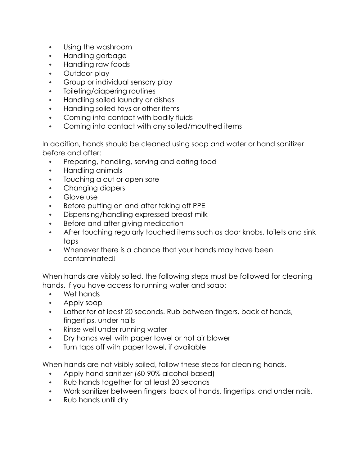- Using the washroom
- Handling garbage
- Handling raw foods
- Outdoor play
- Group or individual sensory play
- Toileting/diapering routines
- Handling soiled laundry or dishes
- Handling soiled toys or other items
- Coming into contact with bodily fluids
- Coming into contact with any soiled/mouthed items

In addition, hands should be cleaned using soap and water or hand sanitizer before and after:

- Preparing, handling, serving and eating food
- Handling animals
- Touching a cut or open sore
- Changing diapers
- Glove use
- Before putting on and after taking off PPE
- Dispensing/handling expressed breast milk
- Before and after giving medication
- After touching regularly touched items such as door knobs, toilets and sink taps
- Whenever there is a chance that your hands may have been contaminated!

When hands are visibly soiled, the following steps must be followed for cleaning hands. If you have access to running water and soap:

- Wet hands
- Apply soap
- Lather for at least 20 seconds. Rub between fingers, back of hands, fingertips, under nails
- Rinse well under running water
- Dry hands well with paper towel or hot air blower
- Turn taps off with paper towel, if available

When hands are not visibly soiled, follow these steps for cleaning hands.

- Apply hand sanitizer (60-90% alcohol-based)
- Rub hands together for at least 20 seconds
- Work sanitizer between fingers, back of hands, fingertips, and under nails.
- Rub hands until dry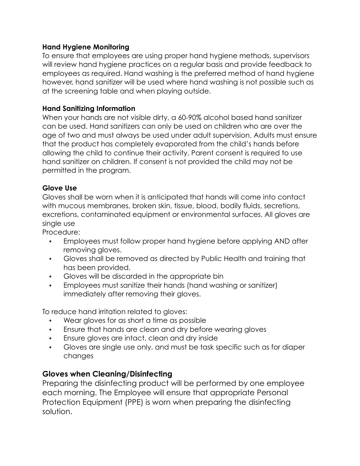## **Hand Hygiene Monitoring**

To ensure that employees are using proper hand hygiene methods, supervisors will review hand hygiene practices on a regular basis and provide feedback to employees as required. Hand washing is the preferred method of hand hygiene however, hand sanitizer will be used where hand washing is not possible such as at the screening table and when playing outside.

### **Hand Sanitizing Information**

When your hands are not visible dirty, a 60-90% alcohol based hand sanitizer can be used. Hand sanitizers can only be used on children who are over the age of two and must always be used under adult supervision. Adults must ensure that the product has completely evaporated from the child's hands before allowing the child to continue their activity. Parent consent is required to use hand sanitizer on children. If consent is not provided the child may not be permitted in the program.

### **Glove Use**

Gloves shall be worn when it is anticipated that hands will come into contact with mucous membranes, broken skin, tissue, blood, bodily fluids, secretions, excretions, contaminated equipment or environmental surfaces. All gloves are single use

Procedure:

- Employees must follow proper hand hygiene before applying AND after removing gloves.
- Gloves shall be removed as directed by Public Health and training that has been provided.
- Gloves will be discarded in the appropriate bin
- Employees must sanitize their hands (hand washing or sanitizer) immediately after removing their gloves.

To reduce hand irritation related to gloves:

- Wear gloves for as short a time as possible
- Ensure that hands are clean and dry before wearing gloves
- Ensure gloves are intact, clean and dry inside
- Gloves are single use only, and must be task specific such as for diaper changes

# **Gloves when Cleaning/Disinfecting**

Preparing the disinfecting product will be performed by one employee each morning. The Employee will ensure that appropriate Personal Protection Equipment (PPE) is worn when preparing the disinfecting solution.